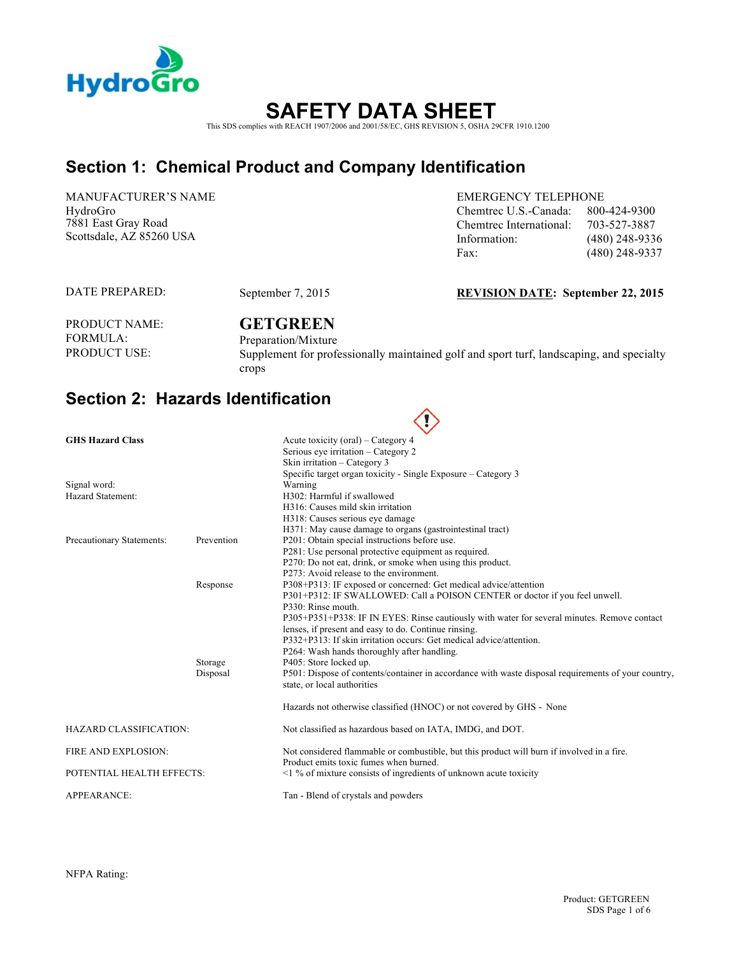

# **SAFETY DATA SHEET**  This SDS complies with REACH 1907/2006 and 2001/58/EC, GHS REVISION 5, OSHA 29CFR 1910.1200

### **Section 1: Chemical Product and Company Identification**

MANUFACTURER'S NAME HydroGro 7881 East Gray Road Scottsdale, AZ 85260 USA

EMERGENCY TELEPHONE Chemtrec U.S.-Canada: 800-424-9300 Chemtrec International: 703-527-3887 Information: (480) 248-9336 Fax: (480) 248-9337

DATE PREPARED:

#### September 7, 2015 **REVISION DATE: September 22, 2015**

PRODUCT NAME: FORMULA:<br>PRODUCT USE:

# **GETGREEN**

Preparation/Mixture Supplement for professionally maintained golf and sport turf, landscaping, and specialty crops

### **Section 2: Hazards Identification**

|                                   |                     | $\sim$ $\prime$                                                                                                                                                                                                                                                                                                                                                                                     |
|-----------------------------------|---------------------|-----------------------------------------------------------------------------------------------------------------------------------------------------------------------------------------------------------------------------------------------------------------------------------------------------------------------------------------------------------------------------------------------------|
| <b>GHS Hazard Class</b>           |                     | Acute toxicity (oral) – Category 4<br>Serious eve irritation – Category 2<br>Skin irritation - Category 3                                                                                                                                                                                                                                                                                           |
| Signal word:<br>Hazard Statement: |                     | Specific target organ toxicity - Single Exposure – Category 3<br>Warning<br>H302: Harmful if swallowed<br>H316: Causes mild skin irritation                                                                                                                                                                                                                                                         |
| Precautionary Statements:         | Prevention          | H318: Causes serious eye damage<br>H371: May cause damage to organs (gastrointestinal tract)<br>P201: Obtain special instructions before use.<br>P281: Use personal protective equipment as required.<br>P270: Do not eat, drink, or smoke when using this product.<br>P273: Avoid release to the environment.                                                                                      |
|                                   | Response            | P308+P313: IF exposed or concerned: Get medical advice/attention<br>P301+P312: IF SWALLOWED: Call a POISON CENTER or doctor if you feel unwell.<br>P330: Rinse mouth.<br>P305+P351+P338: IF IN EYES: Rinse cautiously with water for several minutes. Remove contact<br>lenses, if present and easy to do. Continue rinsing.<br>P332+P313: If skin irritation occurs: Get medical advice/attention. |
|                                   | Storage<br>Disposal | P264: Wash hands thoroughly after handling.<br>P405: Store locked up.<br>P501: Dispose of contents/container in accordance with waste disposal requirements of your country,<br>state, or local authorities                                                                                                                                                                                         |
|                                   |                     | Hazards not otherwise classified (HNOC) or not covered by GHS - None                                                                                                                                                                                                                                                                                                                                |
| <b>HAZARD CLASSIFICATION:</b>     |                     | Not classified as hazardous based on IATA, IMDG, and DOT.                                                                                                                                                                                                                                                                                                                                           |
| FIRE AND EXPLOSION:               |                     | Not considered flammable or combustible, but this product will burn if involved in a fire.<br>Product emits toxic fumes when burned.                                                                                                                                                                                                                                                                |
| POTENTIAL HEALTH EFFECTS:         |                     | $\leq$ 1 % of mixture consists of ingredients of unknown acute toxicity                                                                                                                                                                                                                                                                                                                             |
| <b>APPEARANCE:</b>                |                     | Tan - Blend of crystals and powders                                                                                                                                                                                                                                                                                                                                                                 |

NFPA Rating: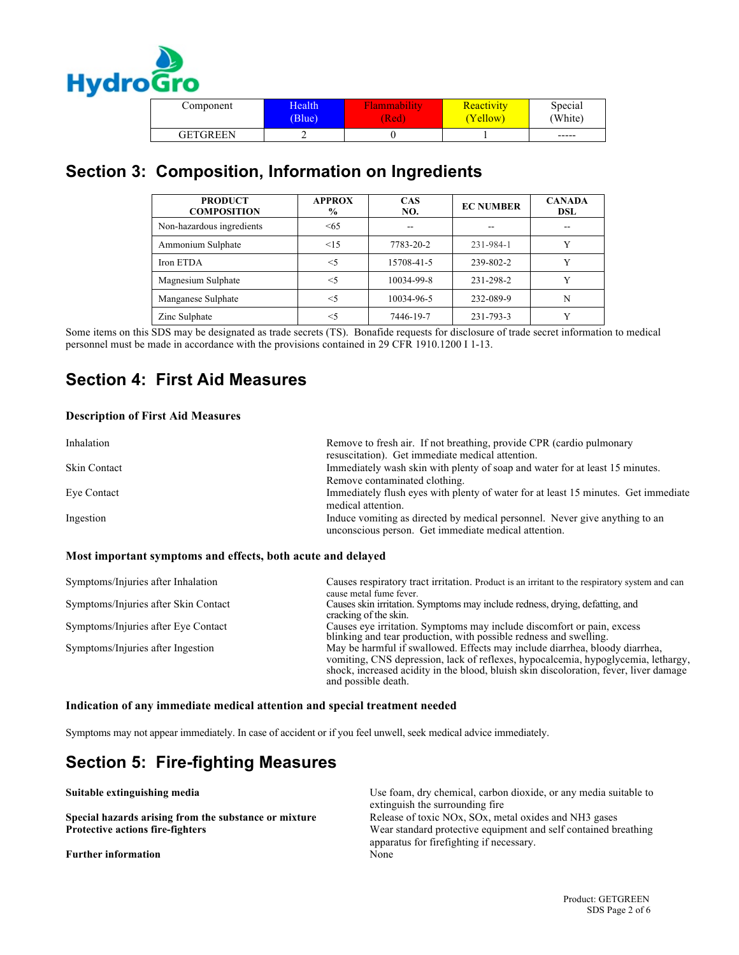

| Component       | Health | Flammability | Reactivity | Special |
|-----------------|--------|--------------|------------|---------|
|                 | (Blue) | (Red         | Yellow)    | 'White) |
| <b>GETGREEN</b> |        |              |            | $-----$ |

# **Section 3: Composition, Information on Ingredients**

| <b>PRODUCT</b><br><b>COMPOSITION</b> | <b>APPROX</b><br>$\%$ | <b>CAS</b><br>NO. | <b>EC NUMBER</b> | <b>CANADA</b><br>DSL |
|--------------------------------------|-----------------------|-------------------|------------------|----------------------|
| Non-hazardous ingredients            | < 65                  |                   | --               |                      |
| Ammonium Sulphate                    | $\leq$ 15             | 7783-20-2         | 231-984-1        |                      |
| Iron ETDA                            | $<$ 5                 | 15708-41-5        | 239-802-2        |                      |
| Magnesium Sulphate                   | $<$ 5                 | 10034-99-8        | 231-298-2        |                      |
| Manganese Sulphate                   | $<$ 5                 | 10034-96-5        | 232-089-9        | N                    |
| Zinc Sulphate                        | $<$ 5                 | 7446-19-7         | 231-793-3        |                      |

Some items on this SDS may be designated as trade secrets (TS). Bonafide requests for disclosure of trade secret information to medical personnel must be made in accordance with the provisions contained in 29 CFR 1910.1200 I 1-13.

## **Section 4: First Aid Measures**

#### **Description of First Aid Measures**

| Inhalation          | Remove to fresh air. If not breathing, provide CPR (cardio pulmonary<br>resuscitation). Get immediate medical attention. |
|---------------------|--------------------------------------------------------------------------------------------------------------------------|
| <b>Skin Contact</b> | Immediately wash skin with plenty of soap and water for at least 15 minutes.                                             |
|                     | Remove contaminated clothing.                                                                                            |
| Eve Contact         | Immediately flush eyes with plenty of water for at least 15 minutes. Get immediate                                       |
|                     | medical attention.                                                                                                       |
| Ingestion           | Induce vomiting as directed by medical personnel. Never give anything to an                                              |
|                     | unconscious person. Get immediate medical attention.                                                                     |

#### **Most important symptoms and effects, both acute and delayed**

| Symptoms/Injuries after Inhalation   | Causes respiratory tract irritation. Product is an irritant to the respiratory system and can<br>cause metal fume fever.                                                                                                                                                         |
|--------------------------------------|----------------------------------------------------------------------------------------------------------------------------------------------------------------------------------------------------------------------------------------------------------------------------------|
| Symptoms/Injuries after Skin Contact | Causes skin irritation. Symptoms may include redness, drying, defatting, and<br>cracking of the skin.                                                                                                                                                                            |
| Symptoms/Injuries after Eye Contact  | Causes eye irritation. Symptoms may include discomfort or pain, excess<br>blinking and tear production, with possible redness and swelling.                                                                                                                                      |
| Symptoms/Injuries after Ingestion    | May be harmful if swallowed. Effects may include diarrhea, bloody diarrhea,<br>vomiting, CNS depression, lack of reflexes, hypocalcemia, hypoglycemia, lethargy,<br>shock, increased acidity in the blood, bluish skin discoloration, fever, liver damage<br>and possible death. |

#### **Indication of any immediate medical attention and special treatment needed**

Symptoms may not appear immediately. In case of accident or if you feel unwell, seek medical advice immediately.

### **Section 5: Fire-fighting Measures**

**Further information** None

**Suitable extinguishing media ISC** 100 **Use foam, dry chemical, carbon dioxide, or any media suitable to Use foam, dry chemical, carbon dioxide, or any media suitable to** extinguish the surrounding fire **Special hazards arising from the substance or mixture** Release of toxic NOx, SOx, metal oxides and NH3 gases **Protective actions fire-fighters** Wear standard protective equipment and self contained breathing apparatus for firefighting if necessary.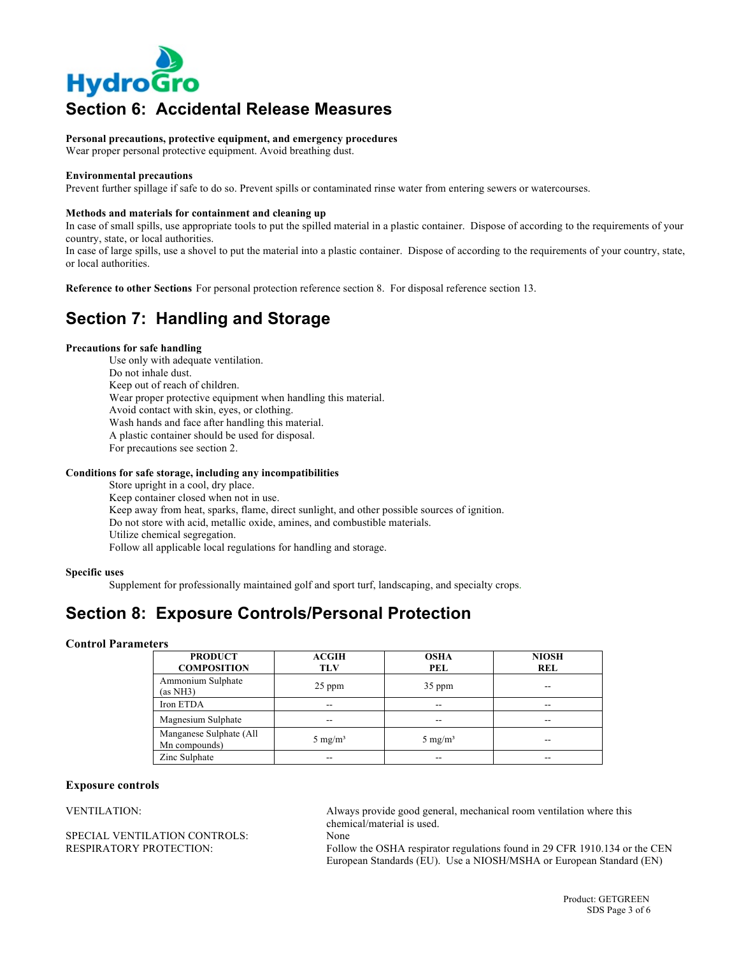

# **Section 6: Accidental Release Measures**

**Personal precautions, protective equipment, and emergency procedures**

Wear proper personal protective equipment. Avoid breathing dust.

#### **Environmental precautions**

Prevent further spillage if safe to do so. Prevent spills or contaminated rinse water from entering sewers or watercourses.

#### **Methods and materials for containment and cleaning up**

In case of small spills, use appropriate tools to put the spilled material in a plastic container. Dispose of according to the requirements of your country, state, or local authorities.

In case of large spills, use a shovel to put the material into a plastic container. Dispose of according to the requirements of your country, state, or local authorities.

**Reference to other Sections** For personal protection reference section 8. For disposal reference section 13.

### **Section 7: Handling and Storage**

#### **Precautions for safe handling**

Use only with adequate ventilation. Do not inhale dust. Keep out of reach of children. Wear proper protective equipment when handling this material. Avoid contact with skin, eyes, or clothing. Wash hands and face after handling this material. A plastic container should be used for disposal. For precautions see section 2.

#### **Conditions for safe storage, including any incompatibilities**

Store upright in a cool, dry place. Keep container closed when not in use. Keep away from heat, sparks, flame, direct sunlight, and other possible sources of ignition. Do not store with acid, metallic oxide, amines, and combustible materials. Utilize chemical segregation. Follow all applicable local regulations for handling and storage.

#### **Specific uses**

Supplement for professionally maintained golf and sport turf, landscaping, and specialty crops.

### **Section 8: Exposure Controls/Personal Protection**

#### **Control Parameters**

| <b>PRODUCT</b><br><b>COMPOSITION</b>     | <b>ACGIH</b><br><b>TLV</b> | <b>OSHA</b><br>PEL | <b>NIOSH</b><br>REL |
|------------------------------------------|----------------------------|--------------------|---------------------|
| Ammonium Sulphate<br>(as NH3)            | 25 ppm                     | 35 ppm             | --                  |
| Iron ETDA                                | $- -$                      | $- -$              | $- -$               |
| Magnesium Sulphate                       | --                         | --                 | --                  |
| Manganese Sulphate (All<br>Mn compounds) | 5 mg/m <sup>3</sup>        | $5 \text{ mg/m}^3$ | --                  |
| Zinc Sulphate                            | --                         | --                 | --                  |

#### **Exposure controls**

SPECIAL VENTILATION CONTROLS: None<br>
RESPIRATORY PROTECTION: Follow

VENTILATION: Always provide good general, mechanical room ventilation where this chemical/material is used.

Follow the OSHA respirator regulations found in 29 CFR 1910.134 or the CEN European Standards (EU). Use a NIOSH/MSHA or European Standard (EN)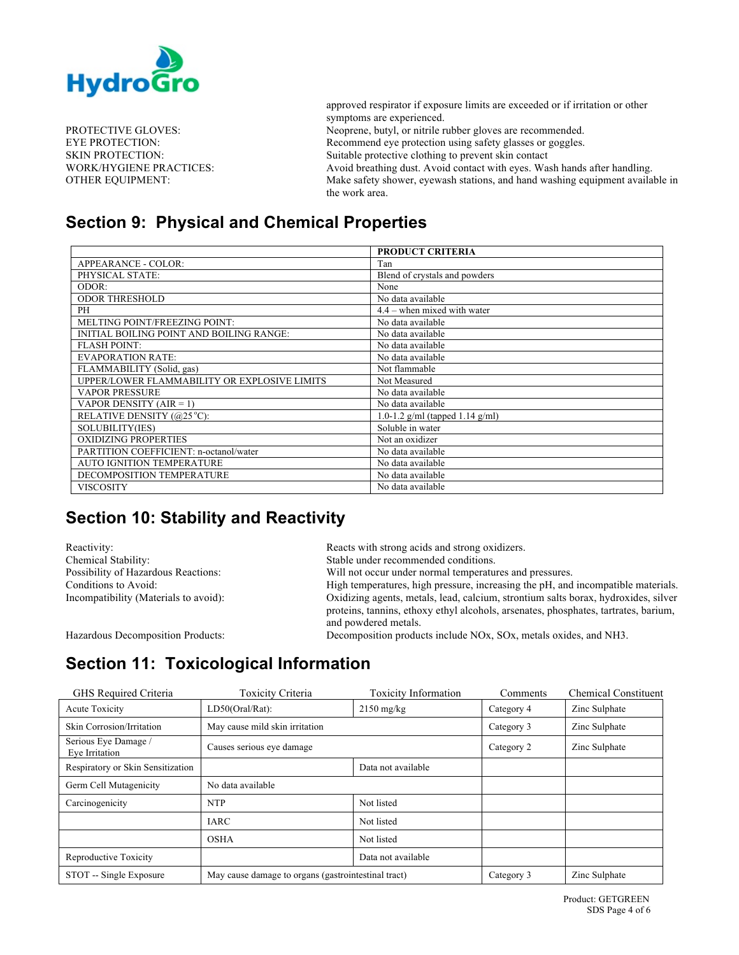

approved respirator if exposure limits are exceeded or if irritation or other symptoms are experienced. PROTECTIVE GLOVES: Neoprene, butyl, or nitrile rubber gloves are recommended. EYE PROTECTION: Recommend eye protection using safety glasses or goggles. SKIN PROTECTION: Suitable protective clothing to prevent skin contact WORK/HYGIENE PRACTICES: Avoid breathing dust. Avoid contact with eyes. Wash hands after handling. OTHER EQUIPMENT: Make safety shower, eyewash stations, and hand washing equipment available in the work area.

### **Section 9: Physical and Chemical Properties**

|                                              | <b>PRODUCT CRITERIA</b>         |
|----------------------------------------------|---------------------------------|
| APPEARANCE - COLOR:                          | Tan                             |
| PHYSICAL STATE:                              | Blend of crystals and powders   |
| ODOR:                                        | None                            |
| <b>ODOR THRESHOLD</b>                        | No data available               |
| PH                                           | $4.4$ – when mixed with water   |
| MELTING POINT/FREEZING POINT:                | No data available               |
| INITIAL BOILING POINT AND BOILING RANGE:     | No data available               |
| <b>FLASH POINT:</b>                          | No data available               |
| <b>EVAPORATION RATE:</b>                     | No data available               |
| FLAMMABILITY (Solid, gas)                    | Not flammable                   |
| UPPER/LOWER FLAMMABILITY OR EXPLOSIVE LIMITS | Not Measured                    |
| <b>VAPOR PRESSURE</b>                        | No data available               |
| VAPOR DENSITY $(AIR = 1)$                    | No data available               |
| RELATIVE DENSITY (@25 °C):                   | 1.0-1.2 g/ml (tapped 1.14 g/ml) |
| SOLUBILITY(IES)                              | Soluble in water                |
| <b>OXIDIZING PROPERTIES</b>                  | Not an oxidizer                 |
| PARTITION COEFFICIENT: n-octanol/water       | No data available               |
| <b>AUTO IGNITION TEMPERATURE</b>             | No data available               |
| DECOMPOSITION TEMPERATURE                    | No data available               |
| VISCOSITY                                    | No data available               |

# **Section 10: Stability and Reactivity**

Reactivity: Reactivity: Reacts with strong acids and strong oxidizers. Chemical Stability: Stable under recommended conditions. Possibility of Hazardous Reactions: Will not occur under normal temperatures and pressures. Conditions to Avoid: High temperatures, high pressure, increasing the pH, and incompatible materials. Incompatibility (Materials to avoid): Oxidizing agents, metals, lead, calcium, strontium salts borax, hydroxides, silver proteins, tannins, ethoxy ethyl alcohols, arsenates, phosphates, tartrates, barium, and powdered metals. Hazardous Decomposition Products: Decomposition products include NOx, SOx, metals oxides, and NH3.

# **Section 11: Toxicological Information**

| GHS Required Criteria                  | Toxicity Criteria                                   | <b>Toxicity Information</b> | Comments   | <b>Chemical Constituent</b> |
|----------------------------------------|-----------------------------------------------------|-----------------------------|------------|-----------------------------|
| <b>Acute Toxicity</b>                  | LD50(Oral/Rat):                                     | $2150$ mg/kg                | Category 4 | Zinc Sulphate               |
| Skin Corrosion/Irritation              | May cause mild skin irritation                      |                             | Category 3 | Zinc Sulphate               |
| Serious Eye Damage /<br>Eye Irritation | Causes serious eye damage                           |                             |            | Zinc Sulphate               |
| Respiratory or Skin Sensitization      |                                                     | Data not available          |            |                             |
| Germ Cell Mutagenicity                 | No data available                                   |                             |            |                             |
| Carcinogenicity                        | <b>NTP</b>                                          | Not listed                  |            |                             |
|                                        | <b>IARC</b>                                         | Not listed                  |            |                             |
|                                        | <b>OSHA</b>                                         | Not listed                  |            |                             |
| Reproductive Toxicity                  |                                                     | Data not available          |            |                             |
| STOT -- Single Exposure                | May cause damage to organs (gastrointestinal tract) |                             | Category 3 | Zinc Sulphate               |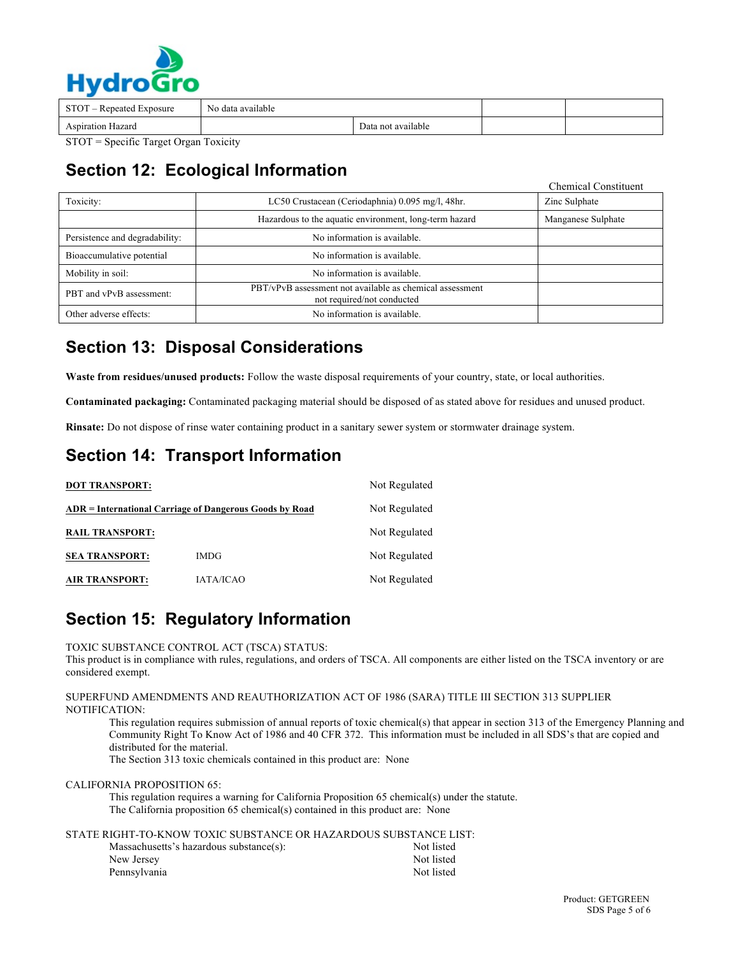

| STOT – Repeated Exposure | No data available |                    |  |  |
|--------------------------|-------------------|--------------------|--|--|
| <b>Aspiration Hazard</b> |                   | Data not available |  |  |
|                          |                   |                    |  |  |

STOT = Specific Target Organ Toxicity

# **Section 12: Ecological Information**

|                                |                                                                                        | Unemical Constituent |
|--------------------------------|----------------------------------------------------------------------------------------|----------------------|
| Toxicity:                      | LC50 Crustacean (Ceriodaphnia) 0.095 mg/l, 48hr.                                       | Zinc Sulphate        |
|                                | Hazardous to the aquatic environment, long-term hazard                                 | Manganese Sulphate   |
| Persistence and degradability: | No information is available.                                                           |                      |
| Bioaccumulative potential      | No information is available.                                                           |                      |
| Mobility in soil:              | No information is available.                                                           |                      |
| PBT and vPvB assessment:       | PBT/vPvB assessment not available as chemical assessment<br>not required/not conducted |                      |
| Other adverse effects:         | No information is available.                                                           |                      |

# **Section 13: Disposal Considerations**

**Waste from residues/unused products:** Follow the waste disposal requirements of your country, state, or local authorities.

**Contaminated packaging:** Contaminated packaging material should be disposed of as stated above for residues and unused product.

**Rinsate:** Do not dispose of rinse water containing product in a sanitary sewer system or stormwater drainage system.

# **Section 14: Transport Information**

| <b>DOT TRANSPORT:</b>  |                                                         | Not Regulated |
|------------------------|---------------------------------------------------------|---------------|
|                        | ADR = International Carriage of Dangerous Goods by Road | Not Regulated |
| <b>RAIL TRANSPORT:</b> |                                                         | Not Regulated |
| <b>SEA TRANSPORT:</b>  | <b>IMDG</b>                                             | Not Regulated |
| <b>AIR TRANSPORT:</b>  | IATA/ICAO                                               | Not Regulated |

# **Section 15: Regulatory Information**

TOXIC SUBSTANCE CONTROL ACT (TSCA) STATUS:

This product is in compliance with rules, regulations, and orders of TSCA. All components are either listed on the TSCA inventory or are considered exempt.

#### SUPERFUND AMENDMENTS AND REAUTHORIZATION ACT OF 1986 (SARA) TITLE III SECTION 313 SUPPLIER NOTIFICATION:

This regulation requires submission of annual reports of toxic chemical(s) that appear in section 313 of the Emergency Planning and Community Right To Know Act of 1986 and 40 CFR 372. This information must be included in all SDS's that are copied and distributed for the material.

The Section 313 toxic chemicals contained in this product are: None

CALIFORNIA PROPOSITION 65:

This regulation requires a warning for California Proposition 65 chemical(s) under the statute. The California proposition 65 chemical(s) contained in this product are: None

STATE RIGHT-TO-KNOW TOXIC SUBSTANCE OR HAZARDOUS SUBSTANCE LIST:

| Massachusetts's hazardous substance(s): | Not listed |
|-----------------------------------------|------------|
| New Jersey                              | Not listed |
| Pennsylvania                            | Not listed |

Chemical Constituent